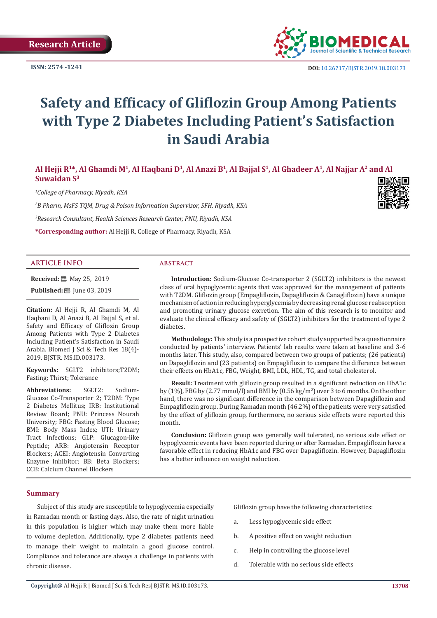**ISSN: 2574 -1241**



# **Safety and Efficacy of Gliflozin Group Among Patients with Type 2 Diabetes Including Patient's Satisfaction in Saudi Arabia**

# **Al Hejji R1\*, Al Ghamdi M<sup>1</sup>, Al Haqbani D<sup>1</sup>, Al Anazi B<sup>1</sup>, Al Bajjal S<sup>1</sup>, Al Ghadeer A1, Al Najjar A2 and Al Suwaidan S<sup>3</sup>**

*1 College of Pharmacy, Riyadh, KSA*

*2 B Pharm, MsFS TQM, Drug & Poison Information Supervisor, SFH, Riyadh, KSA 3 Research Consultant, Health Sciences Research Center, PNU, Riyadh, KSA*

**\*Corresponding author:** Al Hejji R, College of Pharmacy, Riyadh, KSA

# **ARTICLE INFO abstract**

**Received:** 圖 May 25, 2019 **Published:** ■ June 03, 2019

**Citation:** Al Hejji R, Al Ghamdi M, Al Haqbani D, Al Anazi B, Al Bajjal S, et al. Safety and Efficacy of Gliflozin Group Among Patients with Type 2 Diabetes Including Patient's Satisfaction in Saudi Arabia. Biomed J Sci & Tech Res 18(4)- 2019. BJSTR. MS.ID.003173.

**Keywords:** SGLT2 inhibitors;T2DM; Fasting; Thirst; Tolerance

**Abbreviations:** SGLT2: Sodium-Glucose Co-Transporter 2; T2DM: Type 2 Diabetes Mellitus; IRB: Institutional Review Board; PNU: Princess Nourah University; FBG: Fasting Blood Glucose; BMI: Body Mass Index; UTI: Urinary Tract Infections; GLP: Glucagon-like Peptide; ARB: Angiotensin Receptor Blockers; ACEI: Angiotensin Converting Enzyme Inhibitor; BB: Beta Blockers; CCB: Calcium Channel Blockers

**Introduction:** Sodium-Glucose Co-transporter 2 (SGLT2) inhibitors is the newest class of oral hypoglycemic agents that was approved for the management of patients with T2DM. Gliflozin group (Empagliflozin, Dapagliflozin & Canagliflozin) have a unique mechanism of action in reducing hyperglycemia by decreasing renal glucose reabsorption and promoting urinary glucose excretion. The aim of this research is to monitor and evaluate the clinical efficacy and safety of (SGLT2) inhibitors for the treatment of type 2 diabetes.

**Methodology:** This study is a prospective cohort study supported by a questionnaire conducted by patients' interview. Patients' lab results were taken at baseline and 3-6 months later. This study, also, compared between two groups of patients; (26 patients) on Dapagliflozin and (23 patients) on Empagliflozin to compare the difference between their effects on HbA1c, FBG, Weight, BMI, LDL, HDL, TG, and total cholesterol.

**Result:** Treatment with gliflozin group resulted in a significant reduction on HbA1c by (1%), FBG by (2.77 mmol/l) and BMI by (0.56 kg/m<sup>2</sup>) over 3 to 6 months. On the other hand, there was no significant difference in the comparison between Dapagliflozin and Empagliflozin group. During Ramadan month (46.2%) of the patients were very satisfied by the effect of gliflozin group, furthermore, no serious side effects were reported this month.

**Conclusion:** Gliflozin group was generally well tolerated, no serious side effect or hypoglycemic events have been reported during or after Ramadan. Empagliflozin have a favorable effect in reducing HbA1c and FBG over Dapagliflozin. However, Dapagliflozin has a better influence on weight reduction.

#### **Summary**

Subject of this study are susceptible to hypoglycemia especially in Ramadan month or fasting days. Also, the rate of night urination in this population is higher which may make them more liable to volume depletion. Additionally, type 2 diabetes patients need to manage their weight to maintain a good glucose control. Compliance and tolerance are always a challenge in patients with chronic disease.

Gliflozin group have the following characteristics:

- a. Less hypoglycemic side effect
- b. A positive effect on weight reduction
- c. Help in controlling the glucose level
- d. Tolerable with no serious side effects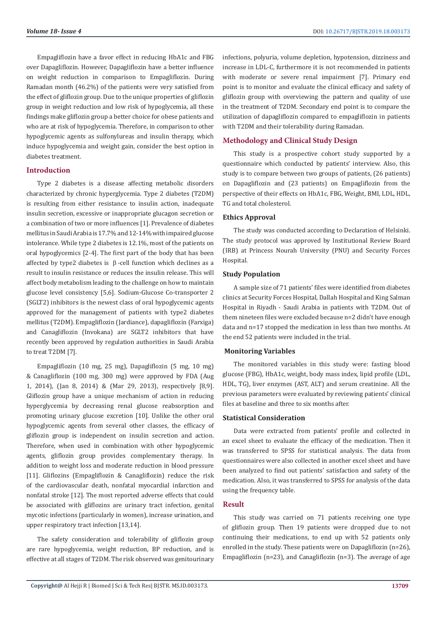Empagliflozin have a favor effect in reducing HbA1c and FBG over Dapagliflozin. However, Dapagliflozin have a better influence on weight reduction in comparison to Empagliflozin. During Ramadan month (46.2%) of the patients were very satisfied from the effect of gliflozin group. Due to the unique properties of gliflozin group in weight reduction and low risk of hypoglycemia, all these findings make gliflozin group a better choice for obese patients and who are at risk of hypoglycemia. Therefore, in comparison to other hypoglycemic agents as sulfonylureas and insulin therapy, which induce hypoglycemia and weight gain, consider the best option in diabetes treatment.

# **Introduction**

Type 2 diabetes is a disease affecting metabolic disorders characterized by chronic hyperglycemia. Type 2 diabetes (T2DM) is resulting from either resistance to insulin action, inadequate insulin secretion, excessive or inappropriate glucagon secretion or a combination of two or more influences [1]. Prevalence of diabetes mellitus in Saudi Arabia is 17.7% and 12-14% with impaired glucose intolerance. While type 2 diabetes is 12.1%, most of the patients on oral hypoglycemics [2-4]. The first part of the body that has been affected by type2 diabetes is  $\beta$ -cell function which declines as a result to insulin resistance or reduces the insulin release. This will affect body metabolism leading to the challenge on how to maintain glucose level consistency [5,6]. Sodium-Glucose Co-transporter 2 (SGLT2) inhibitors is the newest class of oral hypoglycemic agents approved for the management of patients with type2 diabetes mellitus (T2DM). Empagliflozin (Jardiance), dapagliflozin (Farxiga) and Canagliflozin (Invokana) are SGLT2 inhibitors that have recently been approved by regulation authorities in Saudi Arabia to treat T2DM [7].

Empagliflozin (10 mg, 25 mg), Dapagliflozin (5 mg, 10 mg) & Canagliflozin (100 mg, 300 mg) were approved by FDA (Aug 1, 2014), (Jan 8, 2014) & (Mar 29, 2013), respectively [8,9]. Gliflozin group have a unique mechanism of action in reducing hyperglycemia by decreasing renal glucose reabsorption and promoting urinary glucose excretion [10]. Unlike the other oral hypoglycemic agents from several other classes, the efficacy of gliflozin group is independent on insulin secretion and action. Therefore, when used in combination with other hypoglycemic agents, gliflozin group provides complementary therapy. In addition to weight loss and moderate reduction in blood pressure [11]. Gliflozins (Empagliflozin & Canagliflozin) reduce the risk of the cardiovascular death, nonfatal myocardial infarction and nonfatal stroke [12]. The most reported adverse effects that could be associated with gliflozins are urinary tract infection, genital mycotic infections (particularly in women), increase urination, and upper respiratory tract infection [13,14].

The safety consideration and tolerability of gliflozin group are rare hypoglycemia, weight reduction, BP reduction, and is effective at all stages of T2DM. The risk observed was genitourinary infections, polyuria, volume depletion, hypotension, dizziness and increase in LDL-C, furthermore it is not recommended in patients with moderate or severe renal impairment [7]. Primary end point is to monitor and evaluate the clinical efficacy and safety of gliflozin group with overviewing the pattern and quality of use in the treatment of T2DM. Secondary end point is to compare the utilization of dapagliflozin compared to empagliflozin in patients with T2DM and their tolerability during Ramadan.

# **Methodology and Clinical Study Design**

This study is a prospective cohort study supported by a questionnaire which conducted by patients' interview. Also, this study is to compare between two groups of patients, (26 patients) on Dapagliflozin and (23 patients) on Empagliflozin from the perspective of their effects on HbA1c, FBG, Weight, BMI, LDL, HDL, TG and total cholesterol.

# **Ethics Approval**

The study was conducted according to Declaration of Helsinki. The study protocol was approved by Institutional Review Board (IRB) at Princess Nourah University (PNU) and Security Forces Hospital.

# **Study Population**

A sample size of 71 patients' files were identified from diabetes clinics at Security Forces Hospital, Dallah Hospital and King Salman Hospital in Riyadh - Saudi Arabia in patients with T2DM. Out of them nineteen files were excluded because n=2 didn't have enough data and n=17 stopped the medication in less than two months. At the end 52 patients were included in the trial.

# **Monitoring Variables**

The monitored variables in this study were: fasting blood glucose (FBG), HbA1c, weight, body mass index, lipid profile (LDL, HDL, TG), liver enzymes (AST, ALT) and serum creatinine. All the previous parameters were evaluated by reviewing patients' clinical files at baseline and three to six months after.

#### **Statistical Consideration**

Data were extracted from patients' profile and collected in an excel sheet to evaluate the efficacy of the medication. Then it was transferred to SPSS for statistical analysis. The data from questionnaires were also collected in another excel sheet and have been analyzed to find out patients' satisfaction and safety of the medication. Also, it was transferred to SPSS for analysis of the data using the frequency table.

## **Result**

This study was carried on 71 patients receiving one type of gliflozin group. Then 19 patients were dropped due to not continuing their medications, to end up with 52 patients only enrolled in the study. These patients were on Dapagliflozin (n=26), Empagliflozin (n=23), and Canagliflozin (n=3). The average of age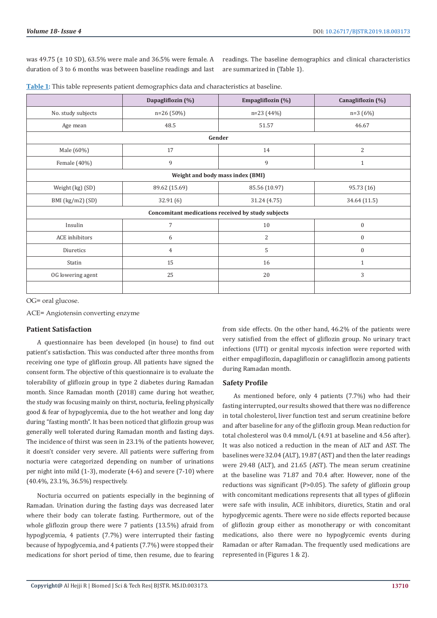was 49.75 (± 10 SD), 63.5% were male and 36.5% were female. A duration of 3 to 6 months was between baseline readings and last

readings. The baseline demographics and clinical characteristics are summarized in (Table 1).

|  |  |  |  |  |  | Table 1: This table represents patient demographics data and characteristics at baseline. |  |
|--|--|--|--|--|--|-------------------------------------------------------------------------------------------|--|
|--|--|--|--|--|--|-------------------------------------------------------------------------------------------|--|

|                                                    | Dapagliflozin (%) | Empagliflozin (%)                | Canagliflozin (%) |  |  |  |  |  |
|----------------------------------------------------|-------------------|----------------------------------|-------------------|--|--|--|--|--|
| No. study subjects                                 | $n=26(50%)$       | $n=23(44%)$                      | $n=3(6%)$         |  |  |  |  |  |
| Age mean                                           | 48.5              | 51.57                            | 46.67             |  |  |  |  |  |
| Gender                                             |                   |                                  |                   |  |  |  |  |  |
| Male (60%)                                         | 17                | 14                               | 2                 |  |  |  |  |  |
| Female (40%)                                       | 9                 | 9                                | $\mathbf{1}$      |  |  |  |  |  |
|                                                    |                   | Weight and body mass index (BMI) |                   |  |  |  |  |  |
| Weight (kg) (SD)                                   | 89.62 (15.69)     | 85.56 (10.97)                    | 95.73 (16)        |  |  |  |  |  |
| BMI (kg/m2) (SD)                                   | 32.91(6)          | 31.24 (4.75)                     | 34.64 (11.5)      |  |  |  |  |  |
| Concomitant medications received by study subjects |                   |                                  |                   |  |  |  |  |  |
| Insulin                                            | $\overline{7}$    | $10\,$                           | $\mathbf{0}$      |  |  |  |  |  |
| <b>ACE</b> inhibitors                              | 6                 | $\mathbf{2}$                     | $\boldsymbol{0}$  |  |  |  |  |  |
| Diuretics                                          | $\overline{4}$    | $\mathsf S$                      | $\mathbf{0}$      |  |  |  |  |  |
| Statin                                             | 15                | 16                               | $\mathbf{1}$      |  |  |  |  |  |
| OG lowering agent                                  | 25                | 20                               | 3                 |  |  |  |  |  |
|                                                    |                   |                                  |                   |  |  |  |  |  |

OG= oral glucose.

ACE= Angiotensin converting enzyme

# **Patient Satisfaction**

A questionnaire has been developed (in house) to find out patient's satisfaction. This was conducted after three months from receiving one type of gliflozin group. All patients have signed the consent form. The objective of this questionnaire is to evaluate the tolerability of gliflozin group in type 2 diabetes during Ramadan month. Since Ramadan month (2018) came during hot weather, the study was focusing mainly on thirst, nocturia, feeling physically good & fear of hypoglycemia, due to the hot weather and long day during "fasting month". It has been noticed that gliflozin group was generally well tolerated during Ramadan month and fasting days. The incidence of thirst was seen in 23.1% of the patients however, it doesn't consider very severe. All patients were suffering from nocturia were categorized depending on number of urinations per night into mild (1-3), moderate (4-6) and severe (7-10) where (40.4%, 23.1%, 36.5%) respectively.

Nocturia occurred on patients especially in the beginning of Ramadan. Urination during the fasting days was decreased later where their body can tolerate fasting. Furthermore, out of the whole gliflozin group there were 7 patients (13.5%) afraid from hypoglycemia, 4 patients (7.7%) were interrupted their fasting because of hypoglycemia, and 4 patients (7.7%) were stopped their medications for short period of time, then resume, due to fearing from side effects. On the other hand, 46.2% of the patients were very satisfied from the effect of gliflozin group. No urinary tract infections (UTI) or genital mycosis infection were reported with either empagliflozin, dapagliflozin or canagliflozin among patients during Ramadan month.

# **Safety Profile**

As mentioned before, only 4 patients (7.7%) who had their fasting interrupted, our results showed that there was no difference in total cholesterol, liver function test and serum creatinine before and after baseline for any of the gliflozin group. Mean reduction for total cholesterol was 0.4 mmol/L (4.91 at baseline and 4.56 after). It was also noticed a reduction in the mean of ALT and AST. The baselines were 32.04 (ALT), 19.87 (AST) and then the later readings were 29.48 (ALT), and 21.65 (AST). The mean serum creatinine at the baseline was 71.87 and 70.4 after. However, none of the reductions was significant (P>0.05). The safety of gliflozin group with concomitant medications represents that all types of gliflozin were safe with insulin, ACE inhibitors, diuretics, Statin and oral hypoglycemic agents. There were no side effects reported because of gliflozin group either as monotherapy or with concomitant medications, also there were no hypoglycemic events during Ramadan or after Ramadan. The frequently used medications are represented in (Figures 1 & 2).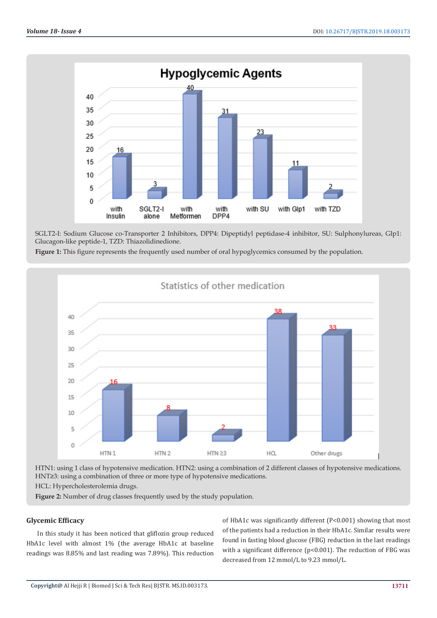

SGLT2-I: Sodium Glucose co-Transporter 2 Inhibitors, DPP4: Dipeptidyl peptidase-4 inhibitor, SU: Sulphonylureas, Glp1: Glucagon-like peptide-1, TZD: Thiazolidinedione.

**Figure 1:** This figure represents the frequently used number of oral hypoglycemics consumed by the population.



HTN1: using 1 class of hypotensive medication. HTN2: using a combination of 2 different classes of hypotensive medications. HNT≥3: using a combination of three or more type of hypotensive medications.

HCL: Hypercholesterolemia drugs.

**Figure 2:** Number of drug classes frequently used by the study population.

# **Glycemic Efficacy**

In this study it has been noticed that gliflozin group reduced HbA1c level with almost 1% (the average HbA1c at baseline readings was 8.85% and last reading was 7.89%). This reduction

of HbA1c was significantly different (P<0.001) showing that most of the patients had a reduction in their HbA1c. Similar results were found in fasting blood glucose (FBG) reduction in the last readings with a significant difference (p<0.001). The reduction of FBG was decreased from 12 mmol/L to 9.23 mmol/L.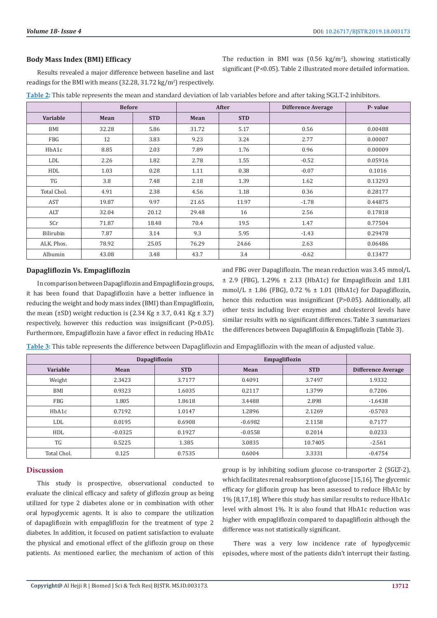# **Body Mass Index (BMI) Efficacy**

Results revealed a major difference between baseline and last readings for the BMI with means  $(32.28, 31.72 \text{ kg/m}^2)$  respectively.

|  |  |  |  | The reduction in BMI was $(0.56 \text{ kg/m}^2)$ , showing statistically |
|--|--|--|--|--------------------------------------------------------------------------|
|  |  |  |  | significant (P<0.05). Table 2 illustrated more detailed information.     |

|             | <b>Before</b> |            | After |            | <b>Difference Average</b> | P-value |
|-------------|---------------|------------|-------|------------|---------------------------|---------|
| Variable    | Mean          | <b>STD</b> | Mean  | <b>STD</b> |                           |         |
| BMI         | 32.28         | 5.86       | 31.72 | 5.17       | 0.56                      | 0.00488 |
| FBG         | 12            | 3.83       | 9.23  | 3.24       | 2.77                      | 0.00007 |
| HbA1c       | 8.85          | 2.03       | 7.89  | 1.76       | 0.96                      | 0.00009 |
| LDL         | 2.26          | 1.82       | 2.78  | 1.55       | $-0.52$                   | 0.05916 |
| HDL         | 1.03          | 0.28       | 1.11  | 0.38       | $-0.07$                   | 0.1016  |
| TG          | 3.8           | 7.48       | 2.18  | 1.39       | 1.62                      | 0.13293 |
| Total Chol. | 4.91          | 2.38       | 4.56  | 1.18       | 0.36                      | 0.28177 |
| AST         | 19.87         | 9.97       | 21.65 | 11.97      | $-1.78$                   | 0.44875 |
| ALT         | 32.04         | 20.12      | 29.48 | 16         | 2.56                      | 0.17818 |
| SCr         | 71.87         | 18.48      | 70.4  | 19.5       | 1.47                      | 0.77504 |
| Bilirubin   | 7.87          | 3.14       | 9.3   | 5.95       | $-1.43$                   | 0.29478 |
| ALK. Phos.  | 78.92         | 25.05      | 76.29 | 24.66      | 2.63                      | 0.06486 |
| Albumin     | 43.08         | 3.48       | 43.7  | 3.4        | $-0.62$                   | 0.13477 |

**Table 2:** This table represents the mean and standard deviation of lab variables before and after taking SGLT-2 inhibitors.

# **Dapagliflozin Vs. Empagliflozin**

In comparison between Dapagliflozin and Empagliflozin groups, it has been found that Dapagliflozin have a better influence in reducing the weight and body mass index (BMI) than Empagliflozin, the mean ( $\pm$ SD) weight reduction is (2.34 Kg  $\pm$  3.7, 0.41 Kg  $\pm$  3.7) respectively, however this reduction was insignificant (P>0.05). Furthermore, Empagliflozin have a favor effect in reducing HbA1c and FBG over Dapagliflozin. The mean reduction was 3.45 mmol/L  $\pm$  2.9 (FBG), 1.29%  $\pm$  2.13 (HbA1c) for Empagliflozin and 1.81 mmol/L  $\pm$  1.86 (FBG), 0.72 %  $\pm$  1.01 (HbA1c) for Dapagliflozin, hence this reduction was insignificant (P>0.05). Additionally, all other tests including liver enzymes and cholesterol levels have similar results with no significant differences. Table 3 summarizes the differences between Dapagliflozin & Empagliflozin (Table 3).

| Table 3: This table represents the difference between Dapagliflozin and Empagliflozin with the mean of adjusted value. |  |  |
|------------------------------------------------------------------------------------------------------------------------|--|--|
|                                                                                                                        |  |  |

|             |           | <b>Dapagliflozin</b> | Empagliflozin |            |                           |
|-------------|-----------|----------------------|---------------|------------|---------------------------|
| Variable    | Mean      | <b>STD</b>           | Mean          | <b>STD</b> | <b>Difference Average</b> |
| Weight      | 2.3423    | 3.7177               | 0.4091        | 3.7497     | 1.9332                    |
| BMI         | 0.9323    | 1.6035               | 0.2117        | 1.3799     | 0.7206                    |
| <b>FBG</b>  | 1.805     | 1.8618               | 3.4488        | 2.898      | $-1.6438$                 |
| HbA1c       | 0.7192    | 1.0147               | 1.2896        | 2.1269     | $-0.5703$                 |
| <b>LDL</b>  | 0.0195    | 0.6908               | $-0.6982$     | 2.1158     | 0.7177                    |
| HDL         | $-0.0325$ | 0.1927               | $-0.0558$     | 0.2014     | 0.0233                    |
| TG          | 0.5225    | 1.385                | 3.0835        | 10.7405    | $-2.561$                  |
| Total Chol. | 0.125     | 0.7535               | 0.6004        | 3.3331     | $-0.4754$                 |

## **Discussion**

This study is prospective, observational conducted to evaluate the clinical efficacy and safety of gliflozin group as being utilized for type 2 diabetes alone or in combination with other oral hypoglycemic agents. It is also to compare the utilization of dapagliflozin with empagliflozin for the treatment of type 2 diabetes. In addition, it focused on patient satisfaction to evaluate the physical and emotional effect of the gliflozin group on these patients. As mentioned earlier, the mechanism of action of this

group is by inhibiting sodium glucose co-transporter 2 (SGLT-2), which facilitates renal reabsorption of glucose [15,16]. The glycemic efficacy for gliflozin group has been assessed to reduce HbA1c by 1% [8,17,18]. Where this study has similar results to reduce HbA1c level with almost 1%. It is also found that HbA1c reduction was higher with empagliflozin compared to dapagliflozin although the difference was not statistically significant.

There was a very low incidence rate of hypoglycemic episodes, where most of the patients didn't interrupt their fasting.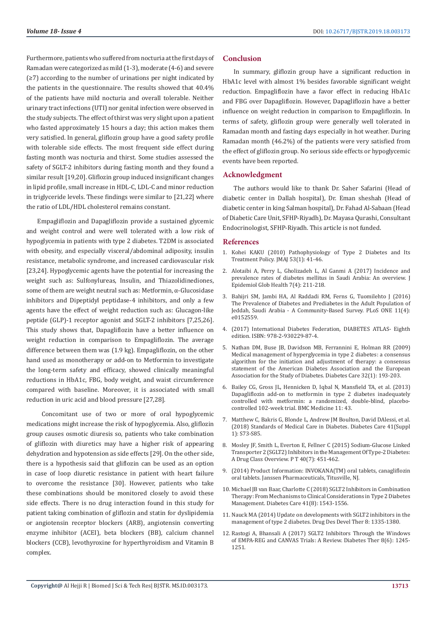Furthermore, patients who suffered from nocturia at the first days of Ramadan were categorized as mild (1-3), moderate (4-6) and severe (≥7) according to the number of urinations per night indicated by the patients in the questionnaire. The results showed that 40.4% of the patients have mild nocturia and overall tolerable. Neither urinary tract infections (UTI) nor genital infection were observed in the study subjects. The effect of thirst was very slight upon a patient who fasted approximately 15 hours a day; this action makes them very satisfied. In general, gliflozin group have a good safety profile with tolerable side effects. The most frequent side effect during fasting month was nocturia and thirst. Some studies assessed the safety of SGLT-2 inhibitors during fasting month and they found a similar result [19,20]. Gliflozin group induced insignificant changes in lipid profile, small increase in HDL-C, LDL-C and minor reduction in triglyceride levels. These findings were similar to [21,22] where the ratio of LDL/HDL cholesterol remains constant.

Empagliflozin and Dapagliflozin provide a sustained glycemic and weight control and were well tolerated with a low risk of hypoglycemia in patients with type 2 diabetes. T2DM is associated with obesity, and especially visceral/abdominal adiposity, insulin resistance, metabolic syndrome, and increased cardiovascular risk [23,24]. Hypoglycemic agents have the potential for increasing the weight such as: Sulfonylureas, Insulin, and Thiazolidinediones, some of them are weight neutral such as: Metformin, α-Glucosidase inhibitors and Dipeptidyl peptidase-4 inhibitors, and only a few agents have the effect of weight reduction such as: Glucagon-like peptide (GLP)-1 receptor agonist and SGLT-2 inhibitors [7,25,26]. This study shows that, Dapagliflozin have a better influence on weight reduction in comparison to Empagliflozin. The average difference between them was (1.9 kg). Empagliflozin, on the other hand used as monotherapy or add-on to Metformin to investigate the long-term safety and efficacy, showed clinically meaningful reductions in HbA1c, FBG, body weight, and waist circumference compared with baseline. Moreover, it is associated with small reduction in uric acid and blood pressure [27,28].

 Concomitant use of two or more of oral hypoglycemic medications might increase the risk of hypoglycemia. Also, gliflozin group causes osmotic diuresis so, patients who take combination of gliflozin with diuretics may have a higher risk of appearing dehydration and hypotension as side effects [29]. On the other side, there is a hypothesis said that gliflozin can be used as an option in case of loop diuretic resistance in patient with heart failure to overcome the resistance [30]. However, patients who take these combinations should be monitored closely to avoid these side effects. There is no drug interaction found in this study for patient taking combination of gliflozin and statin for dyslipidemia or angiotensin receptor blockers (ARB), angiotensin converting enzyme inhibitor (ACEI), beta blockers (BB), calcium channel blockers (CCB), levothyroxine for hyperthyroidism and Vitamin B complex.

# **Conclusion**

In summary, gliflozin group have a significant reduction in HbA1c level with almost 1% besides favorable significant weight reduction. Empagliflozin have a favor effect in reducing HbA1c and FBG over Dapagliflozin. However, Dapagliflozin have a better influence on weight reduction in comparison to Empagliflozin. In terms of safety, gliflozin group were generally well tolerated in Ramadan month and fasting days especially in hot weather. During Ramadan month (46.2%) of the patients were very satisfied from the effect of gliflozin group. No serious side effects or hypoglycemic events have been reported.

# **Acknowledgment**

The authors would like to thank Dr. Saher Safarini (Head of diabetic center in Dallah hospital), Dr. Eman sheshah (Head of diabetic center in king Salman hospital), Dr. Fahad Al-Sabaan (Head of Diabetic Care Unit, SFHP-Riyadh), Dr. Mayasa Qurashi, Consultant Endocrinologist, SFHP-Riyadh. This article is not funded.

#### **References**

- 1. [Kohei KAKU \(2010\) Pathophysiology of Type 2 Diabetes and Its](https://www.med.or.jp/english/journal/pdf/2010_01/041_046.pdf) [Treatment Policy. JMAJ 53\(1\): 41-46.](https://www.med.or.jp/english/journal/pdf/2010_01/041_046.pdf)
- 2. [Alotaibi A, Perry L, Gholizadeh L, Al Ganmi A \(2017\) Incidence and](https://www.ncbi.nlm.nih.gov/pubmed/29110860) [prevalence rates of diabetes mellitus in Saudi Arabia: An overview. J](https://www.ncbi.nlm.nih.gov/pubmed/29110860) [Epidemiol Glob Health 7\(4\): 211-218.](https://www.ncbi.nlm.nih.gov/pubmed/29110860)
- 3. [Bahijri SM, Jambi HA, Al Raddadi RM, Ferns G, Tuomilehto J \(2016\)](https://www.ncbi.nlm.nih.gov/pubmed/27035920) [The Prevalence of Diabetes and Prediabetes in the Adult Population of](https://www.ncbi.nlm.nih.gov/pubmed/27035920) [Jeddah, Saudi Arabia - A Community-Based Survey. PLoS ONE 11\(4\):](https://www.ncbi.nlm.nih.gov/pubmed/27035920) [e0152559.](https://www.ncbi.nlm.nih.gov/pubmed/27035920)
- 4. (2017) International Diabetes Federation, DIABETES ATLAS- Eighth edition. ISBN: 978-2-930229-87-4.
- 5. [Nathan DM, Buse JB, Davidson MB, Ferrannini E, Holman RR \(2009\)](https://www.ncbi.nlm.nih.gov/pubmed/18945920) [Medical management of hyperglycemia in type 2 diabetes: a consensus](https://www.ncbi.nlm.nih.gov/pubmed/18945920) [algorithm for the initiation and adjustment of therapy: a consensus](https://www.ncbi.nlm.nih.gov/pubmed/18945920) [statement of the American Diabetes Association and the European](https://www.ncbi.nlm.nih.gov/pubmed/18945920) [Association for the Study of Diabetes. Diabetes Care 32\(1\): 193-203.](https://www.ncbi.nlm.nih.gov/pubmed/18945920)
- 6. [Bailey CG, Gross JL, Hennicken D, Iqbal N, Mansfield TA, et al. \(2013\)](https://www.ncbi.nlm.nih.gov/pubmed/23425012) [Dapagliflozin add-on to metformin in type 2 diabetes inadequately](https://www.ncbi.nlm.nih.gov/pubmed/23425012) [controlled with metformin: a randomized, double-blind, placebo](https://www.ncbi.nlm.nih.gov/pubmed/23425012)[controlled 102-week trial. BMC Medicine 11: 43.](https://www.ncbi.nlm.nih.gov/pubmed/23425012)
- 7. [Matthew C, Bakris G, Blonde L, Andrew JM Boulton, David DAlessi, et al.](https://diabetesed.net/wp-content/uploads/2017/12/2018-ADA-Standards-of-Care.pdf) [\(2018\) Standards of Medical Care in Diabetes. Diabetes Care 41\(Suppl](https://diabetesed.net/wp-content/uploads/2017/12/2018-ADA-Standards-of-Care.pdf) [1\): S73-S85.](https://diabetesed.net/wp-content/uploads/2017/12/2018-ADA-Standards-of-Care.pdf)
- 8. [Mosley JF, Smith L, Everton E, Fellner C \(2015\) Sodium-Glucose Linked](https://www.ncbi.nlm.nih.gov/pubmed/26185406) [Transporter 2 \(SGLT2\) Inhibitors in the Management Of Type-2 Diabetes:](https://www.ncbi.nlm.nih.gov/pubmed/26185406) [A Drug Class Overview. P T 40\(7\): 451-462.](https://www.ncbi.nlm.nih.gov/pubmed/26185406)
- 9. (2014) Product Information: INVOKANA(TM) oral tablets, canagliflozin oral tablets. Janssen Pharmaceuticals, Titusville, NJ.
- 10. [Michael JB van Baar, Charlotte C \(2018\) SGLT2 Inhibitors in Combination](https://www.ncbi.nlm.nih.gov/pubmed/30030256) [Therapy: From Mechanisms to Clinical Considerations in Type 2 Diabetes](https://www.ncbi.nlm.nih.gov/pubmed/30030256) [Management. Diabetes Care 41\(8\): 1543-1556.](https://www.ncbi.nlm.nih.gov/pubmed/30030256)
- 11. [Nauck MA \(2014\) Update on developments with SGLT2 inhibitors in the](https://www.researchgate.net/publication/266086668_Update_on_developments_with_SGLT2_inhibitors_in_the_management_of_type_2_diabetes) [management of type 2 diabetes. Drug Des Devel Ther 8: 1335-1380.](https://www.researchgate.net/publication/266086668_Update_on_developments_with_SGLT2_inhibitors_in_the_management_of_type_2_diabetes)
- 12. [Rastogi A, Bhansali A \(2017\) SGLT2 Inhibitors Through the Windows](https://www.ncbi.nlm.nih.gov/pubmed/29076040) [of EMPA-REG and CANVAS Trials: A Review. Diabetes Ther 8\(6\): 1245-](https://www.ncbi.nlm.nih.gov/pubmed/29076040) [1251.](https://www.ncbi.nlm.nih.gov/pubmed/29076040)